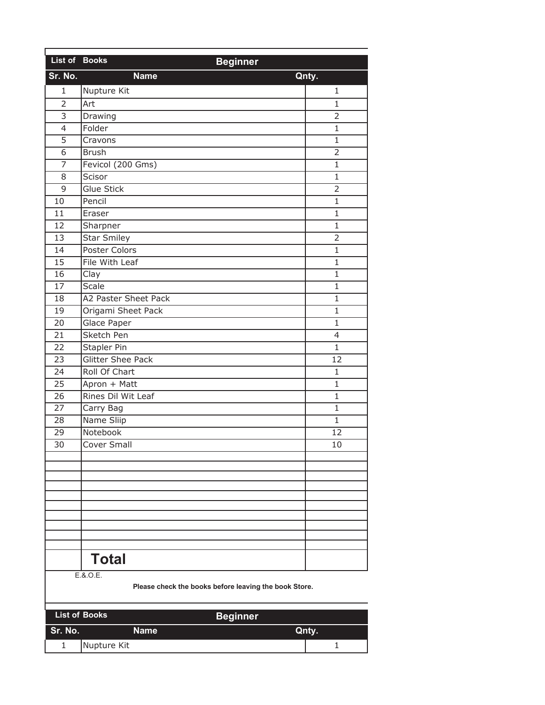| List of Books            | <b>Beginner</b>          |                |
|--------------------------|--------------------------|----------------|
| Sr. No.                  | <b>Name</b><br>Qnty.     |                |
| $\mathbf{1}$             | Nupture Kit              | 1              |
| $\overline{2}$           | Art                      | $\mathbf{1}$   |
| $\overline{3}$           | Drawing                  | $\overline{2}$ |
| $\overline{\mathcal{L}}$ | Folder                   | $\mathbf{1}$   |
| 5                        | Cravons                  | $\mathbf{1}$   |
| 6                        | <b>Brush</b>             | $\overline{2}$ |
| 7                        | Fevicol (200 Gms)        | $\mathbf{1}$   |
| 8                        | Scisor                   | $\mathbf{1}$   |
| $\mathsf 9$              | <b>Glue Stick</b>        | $\overline{2}$ |
| 10                       | Pencil                   | $\mathbf{1}$   |
| 11                       | Eraser                   | $\mathbf{1}$   |
| 12                       | Sharpner                 | $\mathbf{1}$   |
| 13                       | <b>Star Smiley</b>       | $\overline{2}$ |
| 14                       | Poster Colors            | $\mathbf{1}$   |
| 15                       | File With Leaf           | $\mathbf{1}$   |
| 16                       | Clay                     | $\mathbf{1}$   |
| 17                       | Scale                    | $\mathbf{1}$   |
| 18                       | A2 Paster Sheet Pack     | $\mathbf{1}$   |
| 19                       | Origami Sheet Pack       | $\mathbf{1}$   |
| 20                       | Glace Paper              | $\mathbf{1}$   |
| 21                       | Sketch Pen               | 4              |
| 22                       | Stapler Pin              | $\mathbf{1}$   |
| 23                       | <b>Glitter Shee Pack</b> | 12             |
| 24                       | Roll Of Chart            | $\mathbf{1}$   |
| 25                       | Apron + Matt             | $\mathbf{1}$   |
| 26                       | Rines Dil Wit Leaf       | $\mathbf{1}$   |
| 27                       | Carry Bag                | $\mathbf{1}$   |
| 28                       | Name Sliip               | $\mathbf{1}$   |
| 29                       | Notebook                 | 12             |
| 30                       | <b>Cover Small</b>       | 10             |
|                          |                          |                |
|                          |                          |                |
|                          |                          |                |
|                          |                          |                |
|                          |                          |                |
|                          |                          |                |
|                          |                          |                |
|                          |                          |                |
|                          | <b>Total</b>             |                |
|                          | E.8.0.E.                 |                |

| <b>List of Books</b> | <b>Beginner</b> |       |
|----------------------|-----------------|-------|
| Sr. No.              | Name            | Qnty. |
|                      | Nupture Kit     |       |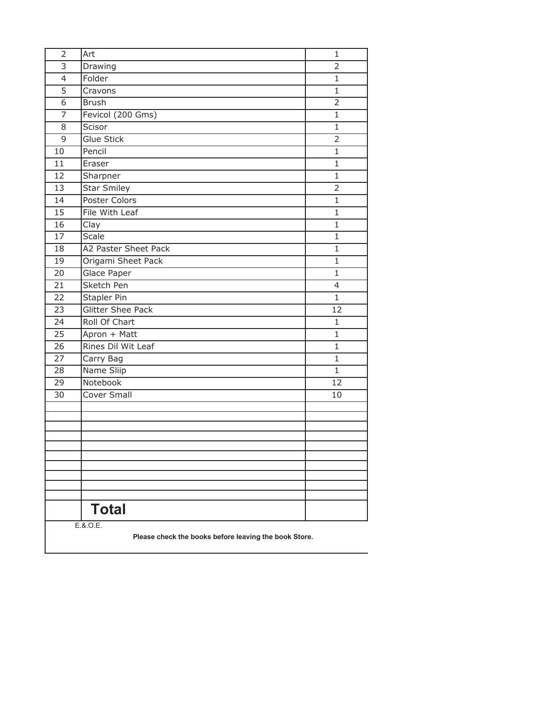| $\overline{2}$           | Art                      | $\mathbf{1}$   |
|--------------------------|--------------------------|----------------|
| 3                        | Drawing                  | $\overline{2}$ |
| $\overline{\mathcal{L}}$ | Folder                   | $\mathbf{1}$   |
| 5                        | Cravons                  | $\mathbf{1}$   |
| 6                        | <b>Brush</b>             | $\overline{2}$ |
| $\overline{7}$           | Fevicol (200 Gms)        | $\mathbf{1}$   |
| 8                        | Scisor                   | $\mathbf 1$    |
| 9                        | Glue Stick               | $\overline{2}$ |
| 10                       | Pencil                   | $\mathbf{1}$   |
| 11                       | Eraser                   | $\mathbf{1}$   |
| $\overline{12}$          | Sharpner                 | $\mathbf{1}$   |
| $\overline{13}$          | <b>Star Smiley</b>       | $\overline{2}$ |
| $\overline{14}$          | Poster Colors            | $\mathbf{1}$   |
| $\overline{15}$          | File With Leaf           | $\mathbf{1}$   |
| 16                       | Clay                     | 1              |
| $\overline{17}$          | Scale                    | $\mathbf{1}$   |
| 18                       | A2 Paster Sheet Pack     | $\mathbf{1}$   |
| 19                       | Origami Sheet Pack       | $\mathbf{1}$   |
| 20                       | Glace Paper              | $\mathbf{1}$   |
| $\overline{21}$          | Sketch Pen               | $\overline{4}$ |
| 22                       | Stapler Pin              | $\mathbf{1}$   |
| 23                       | <b>Glitter Shee Pack</b> | 12             |
| 24                       | Roll Of Chart            | $\mathbf{1}$   |
| $\overline{25}$          | Apron + Matt             | $\mathbf{1}$   |
| 26                       | Rines Dil Wit Leaf       | $\mathbf 1$    |
| 27                       | Carry Bag                | $\mathbf{1}$   |
| 28                       | Name Sliip               | $\mathbf{1}$   |
| 29                       | Notebook                 | 12             |
| 30                       | Cover Small              | 10             |
|                          |                          |                |
|                          |                          |                |
|                          |                          |                |
|                          |                          |                |
|                          |                          |                |
|                          |                          |                |
|                          |                          |                |
|                          |                          |                |
|                          | <b>Total</b>             |                |
|                          | E.8.0.E.                 |                |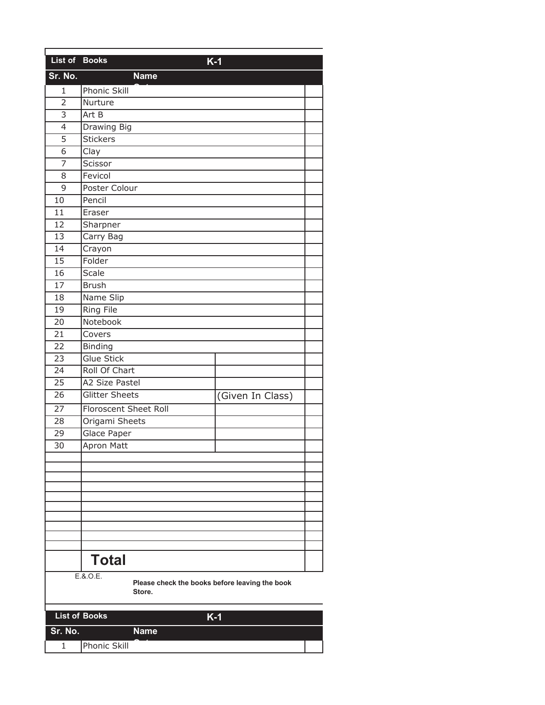| List of Books   |                                                                      | $K-1$            |
|-----------------|----------------------------------------------------------------------|------------------|
| Sr. No.         | <b>Name</b>                                                          |                  |
| 1               | Phonic Skill                                                         |                  |
| $\overline{2}$  | Nurture                                                              |                  |
| $\overline{3}$  | Art B                                                                |                  |
| $\overline{4}$  | Drawing Big                                                          |                  |
| $\overline{5}$  | <b>Stickers</b>                                                      |                  |
| $\overline{6}$  | Clay                                                                 |                  |
| 7               | Scissor                                                              |                  |
| 8               | Fevicol                                                              |                  |
| 9               | Poster Colour                                                        |                  |
| 10              | Pencil                                                               |                  |
| 11              | Eraser                                                               |                  |
| 12              | Sharpner                                                             |                  |
| 13              | Carry Bag                                                            |                  |
| 14              | Crayon                                                               |                  |
| 15              | Folder                                                               |                  |
| 16              | Scale                                                                |                  |
| 17              | <b>Brush</b>                                                         |                  |
| 18              | Name Slip                                                            |                  |
| $\overline{19}$ | <b>Ring File</b>                                                     |                  |
| 20              | Notebook                                                             |                  |
| 21              | Covers                                                               |                  |
| 22              | Binding                                                              |                  |
| 23              | <b>Glue Stick</b>                                                    |                  |
| 24              | Roll Of Chart                                                        |                  |
| 25              | A2 Size Pastel                                                       |                  |
| 26              | Glitter Sheets                                                       | (Given In Class) |
| 27              | Floroscent Sheet Roll                                                |                  |
| 28              | Origami Sheets                                                       |                  |
| 29              | Glace Paper                                                          |                  |
| $\overline{30}$ | Apron Matt                                                           |                  |
|                 |                                                                      |                  |
|                 |                                                                      |                  |
|                 |                                                                      |                  |
|                 |                                                                      |                  |
|                 |                                                                      |                  |
|                 |                                                                      |                  |
|                 |                                                                      |                  |
|                 |                                                                      |                  |
|                 | <b>Total</b>                                                         |                  |
|                 | E.8.0.E.<br>Please check the books before leaving the book<br>Store. |                  |
|                 | <b>List of Books</b>                                                 | $K-1$            |
| Sr. No.         | <b>Name</b>                                                          |                  |

1

**Phonic Skill**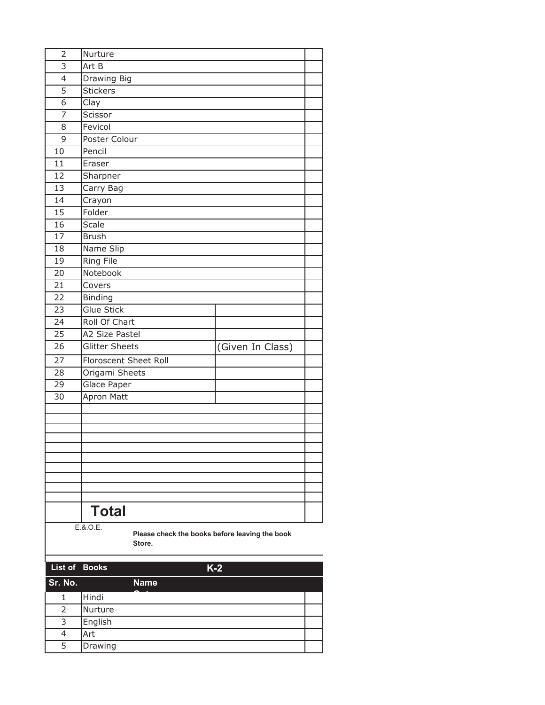| $\overline{2}$ | Nurture                                                              |                  |  |
|----------------|----------------------------------------------------------------------|------------------|--|
| $\overline{3}$ | Art B                                                                |                  |  |
| $\overline{4}$ | <b>Drawing Big</b>                                                   |                  |  |
| 5              | <b>Stickers</b>                                                      |                  |  |
| $\overline{6}$ | Clay                                                                 |                  |  |
| $\overline{7}$ | Scissor                                                              |                  |  |
| 8              | Fevicol                                                              |                  |  |
| 9              | Poster Colour                                                        |                  |  |
| 10             | Pencil                                                               |                  |  |
| 11             | Eraser                                                               |                  |  |
| 12             | Sharpner                                                             |                  |  |
| 13             | Carry Bag                                                            |                  |  |
| 14             | Crayon                                                               |                  |  |
| 15             | Folder                                                               |                  |  |
| 16             | Scale                                                                |                  |  |
| 17             | <b>Brush</b>                                                         |                  |  |
| 18             | Name Slip                                                            |                  |  |
| 19             | <b>Ring File</b>                                                     |                  |  |
| 20             | Notebook                                                             |                  |  |
| 21             | Covers                                                               |                  |  |
| 22             | <b>Binding</b>                                                       |                  |  |
| 23             | <b>Glue Stick</b>                                                    |                  |  |
| 24             | <b>Roll Of Chart</b>                                                 |                  |  |
| 25             | A2 Size Pastel                                                       |                  |  |
| 26             | <b>Glitter Sheets</b>                                                | (Given In Class) |  |
| 27             | Floroscent Sheet Roll                                                |                  |  |
| 28             | Origami Sheets                                                       |                  |  |
| 29             | Glace Paper                                                          |                  |  |
| 30             | <b>Apron Matt</b>                                                    |                  |  |
|                |                                                                      |                  |  |
|                |                                                                      |                  |  |
|                |                                                                      |                  |  |
|                |                                                                      |                  |  |
|                |                                                                      |                  |  |
|                |                                                                      |                  |  |
|                |                                                                      |                  |  |
|                |                                                                      |                  |  |
|                | <b>Total</b>                                                         |                  |  |
|                |                                                                      |                  |  |
|                | E.8.0.E.<br>Please check the books before leaving the book<br>Store. |                  |  |
| List of        | <b>Books</b><br>$K-2$                                                |                  |  |
| Sr. No.        | <b>Name</b>                                                          |                  |  |
| 1              | Hindi                                                                |                  |  |
| $\overline{2}$ | Nurture                                                              |                  |  |

3 4 5 English

Art Drawing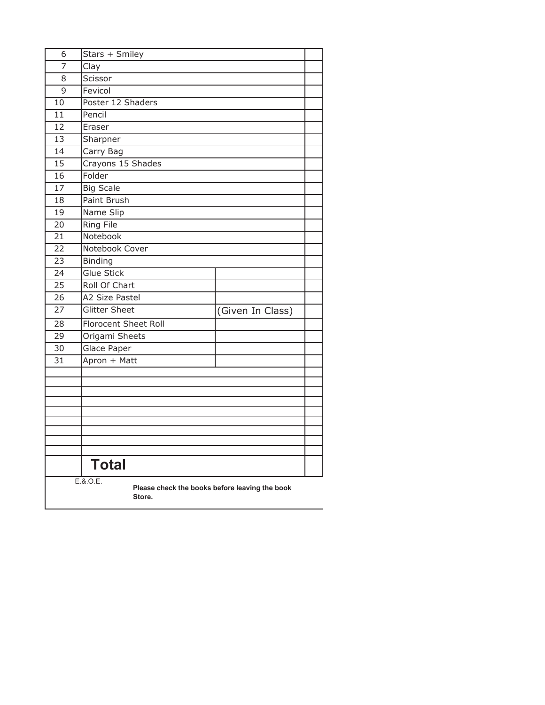| 6                                                                    | Stars + Smiley        |                  |  |
|----------------------------------------------------------------------|-----------------------|------------------|--|
| 7                                                                    | Clay                  |                  |  |
| 8                                                                    | Scissor               |                  |  |
| $\overline{9}$                                                       | Fevicol               |                  |  |
| 10                                                                   | Poster 12 Shaders     |                  |  |
| 11                                                                   | Pencil                |                  |  |
| 12                                                                   | Eraser                |                  |  |
| 13                                                                   | Sharpner              |                  |  |
| 14                                                                   | Carry Bag             |                  |  |
| $\overline{15}$                                                      | Crayons 15 Shades     |                  |  |
| $\overline{16}$                                                      | Folder                |                  |  |
| 17                                                                   | <b>Big Scale</b>      |                  |  |
| 18                                                                   | Paint Brush           |                  |  |
| 19                                                                   | Name Slip             |                  |  |
| 20                                                                   | Ring File             |                  |  |
| $\overline{21}$                                                      | Notebook              |                  |  |
| 22                                                                   | Notebook Cover        |                  |  |
| 23                                                                   | <b>Binding</b>        |                  |  |
| 24                                                                   | <b>Glue Stick</b>     |                  |  |
| 25                                                                   | Roll Of Chart         |                  |  |
| $\overline{26}$                                                      | <b>A2 Size Pastel</b> |                  |  |
| $\overline{27}$                                                      | <b>Glitter Sheet</b>  | (Given In Class) |  |
| 28                                                                   | Florocent Sheet Roll  |                  |  |
| 29                                                                   | Origami Sheets        |                  |  |
| 30                                                                   | Glace Paper           |                  |  |
| 31                                                                   | Apron + Matt          |                  |  |
|                                                                      |                       |                  |  |
|                                                                      |                       |                  |  |
|                                                                      |                       |                  |  |
|                                                                      |                       |                  |  |
|                                                                      |                       |                  |  |
|                                                                      |                       |                  |  |
|                                                                      |                       |                  |  |
|                                                                      |                       |                  |  |
|                                                                      | <b>Total</b>          |                  |  |
| E.8.0.E.<br>Please check the books before leaving the book<br>Store. |                       |                  |  |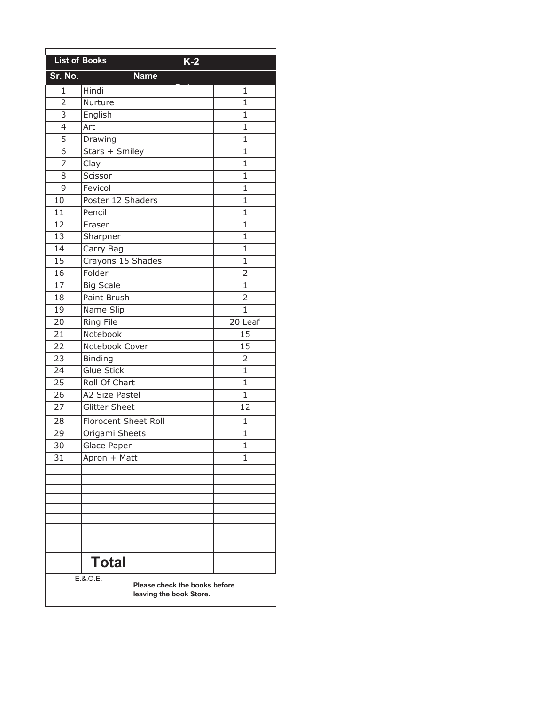| <b>List of Books</b>     | $K-2$                                                    |                |
|--------------------------|----------------------------------------------------------|----------------|
| Sr. No.                  | <b>Name</b>                                              |                |
| 1                        | Hindi                                                    | 1              |
| $\overline{2}$           | Nurture                                                  | $\mathbf{1}$   |
| 3                        | English                                                  | 1              |
| $\overline{\mathcal{L}}$ | Art                                                      | 1              |
| $\overline{5}$           | Drawing                                                  | $\mathbf{1}$   |
| 6                        | Stars + Smiley                                           | $\mathbf{1}$   |
| 7                        | Clay                                                     | $\overline{1}$ |
| 8                        | Scissor                                                  | 1              |
| 9                        | Fevicol                                                  | $\overline{1}$ |
| 10                       | Poster 12 Shaders                                        | $\mathbf{1}$   |
| 11                       | Pencil                                                   | 1              |
| 12                       | Eraser                                                   | $\overline{1}$ |
| 13                       | Sharpner                                                 | $\mathbf{1}$   |
| 14                       | Carry Bag                                                | $\mathbf{1}$   |
| 15                       | Crayons 15 Shades                                        | 1              |
| 16                       | Folder                                                   | $\overline{2}$ |
| 17                       | <b>Big Scale</b>                                         | $\mathbf{1}$   |
| 18                       | Paint Brush                                              | $\overline{2}$ |
| 19                       | Name Slip                                                | $\mathbf{1}$   |
| 20                       | Ring File                                                | 20 Leaf        |
| 21                       | Notebook                                                 | 15             |
| 22                       | Notebook Cover                                           | 15             |
| 23                       | <b>Binding</b>                                           | $\overline{2}$ |
| 24                       | Glue Stick                                               | $\mathbf 1$    |
| 25                       | Roll Of Chart                                            | $\mathbf 1$    |
| 26                       | A2 Size Pastel                                           | 1              |
| 27                       | <b>Glitter Sheet</b>                                     | 12             |
| 28                       | <b>Florocent Sheet Roll</b>                              | 1              |
| 29                       | Origami Sheets                                           | $\mathbf{1}$   |
| 30                       | <b>Glace Paper</b>                                       | $\mathbf{1}$   |
| 31                       | Apron + Matt                                             | 1              |
|                          |                                                          |                |
|                          |                                                          |                |
|                          |                                                          |                |
|                          |                                                          |                |
|                          |                                                          |                |
|                          |                                                          |                |
|                          |                                                          |                |
|                          | <b>Total</b>                                             |                |
|                          | E.8.0.E.                                                 |                |
|                          | Please check the books before<br>leaving the book Store. |                |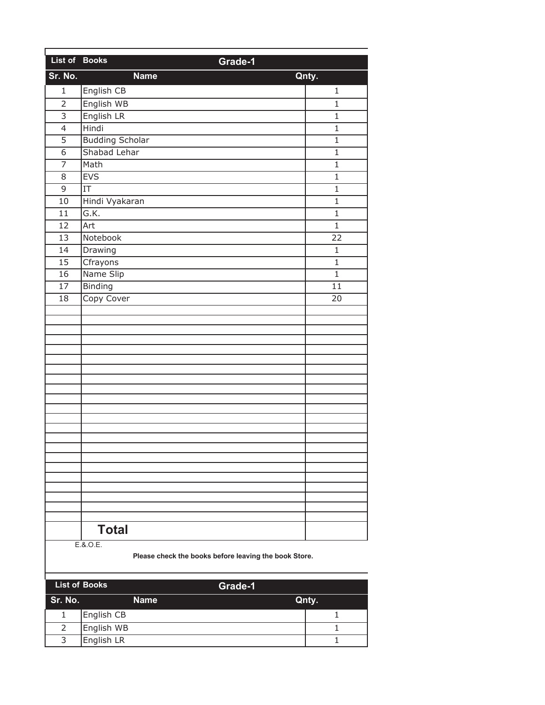| List of Books   | Grade-1                |                 |
|-----------------|------------------------|-----------------|
| Sr. No.         | <b>Name</b>            | Qnty.           |
| $\mathbf{1}$    | English CB             | 1               |
| $\overline{2}$  | English WB             | $\mathbf{1}$    |
| $\overline{3}$  | English LR             | $\mathbf{1}$    |
| $\overline{4}$  | Hindi                  | $\mathbf{1}$    |
| $\overline{5}$  | <b>Budding Scholar</b> | $\mathbf{1}$    |
| 6               | Shabad Lehar           | $\mathbf{1}$    |
| $\overline{7}$  | Math                   | $\mathbf{1}$    |
| 8               | <b>EVS</b>             | $\mathbf{1}$    |
| 9               | $\overline{\text{IT}}$ | $\mathbf{1}$    |
| $\overline{10}$ | Hindi Vyakaran         | $\mathbf{1}$    |
| 11              | G.K.                   | $\mathbf{1}$    |
| 12              | Art                    | $\mathbf{1}$    |
| 13              | Notebook               | 22              |
| 14              | Drawing                | 1               |
| 15              | Cfrayons               | $\mathbf{1}$    |
| 16              | Name Slip              | $\mathbf{1}$    |
| 17              | Binding                | $\overline{11}$ |
| 18              | Copy Cover             | 20              |
|                 |                        |                 |
|                 |                        |                 |
|                 |                        |                 |
|                 |                        |                 |
|                 |                        |                 |
|                 |                        |                 |
|                 |                        |                 |
|                 |                        |                 |
|                 |                        |                 |
|                 |                        |                 |
|                 |                        |                 |
|                 |                        |                 |
|                 |                        |                 |
|                 |                        |                 |
|                 |                        |                 |
|                 |                        |                 |
|                 |                        |                 |
|                 |                        |                 |
|                 | <b>Total</b>           |                 |
|                 | E.8.0.E.               |                 |

|         | <b>List of Books</b><br>Grade-1 |       |
|---------|---------------------------------|-------|
| Sr. No. | <b>Name</b>                     | Qnty. |
|         | English CB                      |       |
|         | English WB                      |       |
| 3       | English LR                      |       |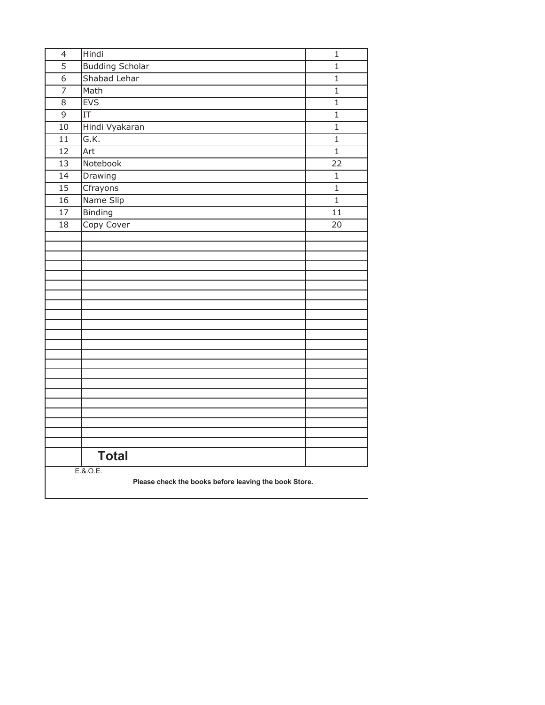| $\overline{4}$  | Hindi                                                 | $\mathbf 1$     |
|-----------------|-------------------------------------------------------|-----------------|
| $\overline{5}$  | <b>Budding Scholar</b>                                | 1               |
| $\overline{6}$  | Shabad Lehar                                          | $\mathbf{1}$    |
| $\overline{7}$  | Math                                                  | $\mathbf{1}$    |
| 8               | <b>EVS</b>                                            | $\mathbf{1}$    |
| 9               | $\overline{\text{IT}}$                                | $\mathbf{1}$    |
| 10              | Hindi Vyakaran                                        | $\mathbf 1$     |
| $\overline{11}$ | G.K.                                                  | $\overline{1}$  |
| 12              | Art                                                   | $\mathbf{1}$    |
| $\overline{13}$ | Notebook                                              | $\overline{22}$ |
| 14              | Drawing                                               | $\mathbf{1}$    |
| 15              | Cfrayons                                              | $\mathbf{1}$    |
| 16              | Name Slip                                             | $\overline{1}$  |
| 17              | <b>Binding</b>                                        | 11              |
| 18              | Copy Cover                                            | 20              |
|                 |                                                       |                 |
|                 |                                                       |                 |
|                 |                                                       |                 |
|                 |                                                       |                 |
|                 |                                                       |                 |
|                 |                                                       |                 |
|                 |                                                       |                 |
|                 |                                                       |                 |
|                 |                                                       |                 |
|                 |                                                       |                 |
|                 |                                                       |                 |
|                 |                                                       |                 |
|                 |                                                       |                 |
|                 |                                                       |                 |
|                 |                                                       |                 |
|                 |                                                       |                 |
|                 |                                                       |                 |
|                 |                                                       |                 |
|                 | <b>Total</b>                                          |                 |
|                 | E.8.0.E.                                              |                 |
|                 | Please check the books before leaving the book Store. |                 |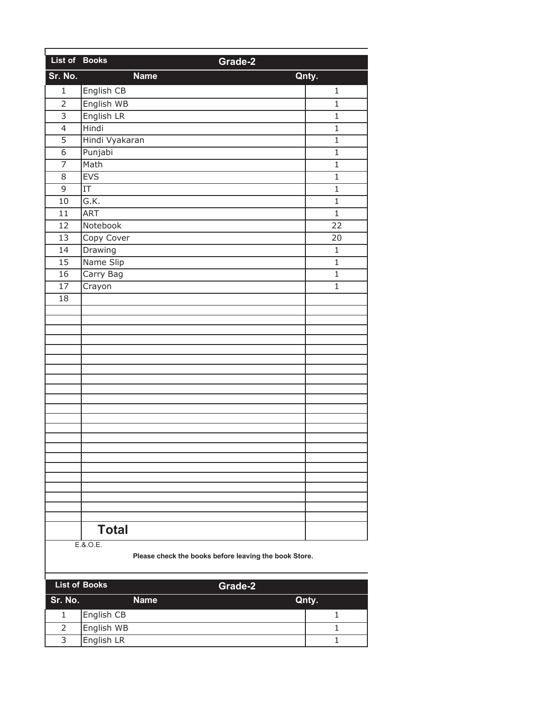| List of Books   | Grade-2        |                 |
|-----------------|----------------|-----------------|
| Sr. No.         | <b>Name</b>    | Qnty.           |
| $\mathbf{1}$    | English CB     | 1               |
| $\overline{2}$  | English WB     | $\mathbf{1}$    |
| $\overline{3}$  | English LR     | $\mathbf{1}$    |
| $\overline{4}$  | Hindi          | $\mathbf{1}$    |
| $\overline{5}$  | Hindi Vyakaran | $\mathbf{1}$    |
| $\overline{6}$  | Punjabi        | $\mathbf{1}$    |
| $\overline{7}$  | Math           | $\mathbf{1}$    |
| 8               | <b>EVS</b>     | $\mathbf{1}$    |
| 9               | IT             | $\mathbf{1}$    |
| 10              | G.K.           | $\mathbf{1}$    |
| 11              | <b>ART</b>     | $\mathbf{1}$    |
| 12              | Notebook       | $\overline{22}$ |
| $\overline{13}$ | Copy Cover     | 20              |
| 14              | Drawing        | $\mathbf 1$     |
| 15              | Name Slip      | $\mathbf{1}$    |
| 16              | Carry Bag      | $\mathbf{1}$    |
| 17              | Crayon         | $\mathbf{1}$    |
| 18              |                |                 |
|                 |                |                 |
|                 |                |                 |
|                 |                |                 |
|                 |                |                 |
|                 |                |                 |
|                 |                |                 |
|                 |                |                 |
|                 |                |                 |
|                 |                |                 |
|                 |                |                 |
|                 |                |                 |
|                 |                |                 |
|                 |                |                 |
|                 |                |                 |
|                 |                |                 |
|                 |                |                 |
|                 |                |                 |
|                 |                |                 |
|                 | <b>Total</b>   |                 |
|                 | E.8.0.E.       |                 |

| <b>List of Books</b> | Grade-2     |       |
|----------------------|-------------|-------|
| Sr. No.              | <b>Name</b> | Qnty. |
|                      | English CB  |       |
|                      | English WB  |       |
| 3                    | English LR  |       |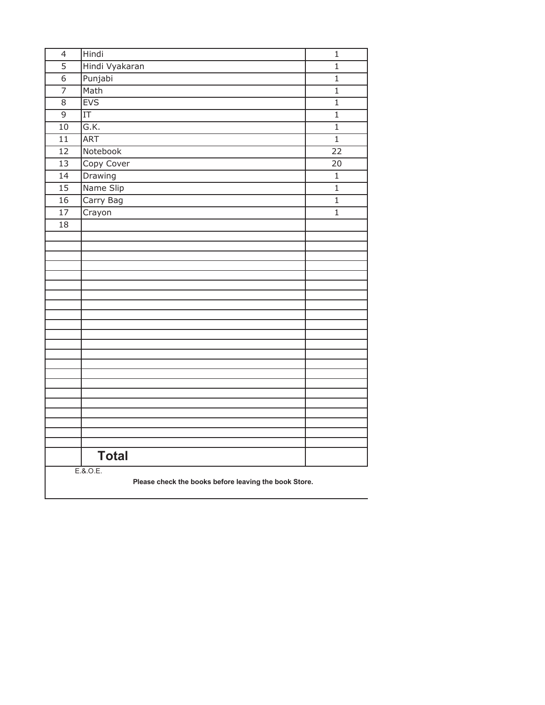| $\overline{4}$  | Hindi                                                 | $\mathbf 1$     |
|-----------------|-------------------------------------------------------|-----------------|
| $\overline{5}$  | Hindi Vyakaran                                        | $\mathbf 1$     |
| $\overline{6}$  | Punjabi                                               | $\overline{1}$  |
| $\overline{7}$  | Math                                                  | $\mathbf 1$     |
| 8               | <b>EVS</b>                                            | $\mathbf{1}$    |
| 9               | $\overline{\text{IT}}$                                | $\mathbf{1}$    |
| 10              | G.K.                                                  | $\mathbf{1}$    |
| $\overline{11}$ | <b>ART</b>                                            | $\overline{1}$  |
| 12              | Notebook                                              | $\overline{22}$ |
| $\overline{13}$ | Copy Cover                                            | $\overline{20}$ |
| 14              | Drawing                                               | $\mathbf{1}$    |
| 15              | Name Slip                                             | $\mathbf{1}$    |
| 16              | Carry Bag                                             | $\overline{1}$  |
| 17              | Crayon                                                | $\mathbf{1}$    |
| 18              |                                                       |                 |
|                 |                                                       |                 |
|                 |                                                       |                 |
|                 |                                                       |                 |
|                 |                                                       |                 |
|                 |                                                       |                 |
|                 |                                                       |                 |
|                 |                                                       |                 |
|                 |                                                       |                 |
|                 |                                                       |                 |
|                 |                                                       |                 |
|                 |                                                       |                 |
|                 |                                                       |                 |
|                 |                                                       |                 |
|                 |                                                       |                 |
|                 |                                                       |                 |
|                 |                                                       |                 |
|                 |                                                       |                 |
|                 |                                                       |                 |
|                 |                                                       |                 |
|                 | <b>Total</b>                                          |                 |
|                 | E.8.0.E.                                              |                 |
|                 | Please check the books before leaving the book Store. |                 |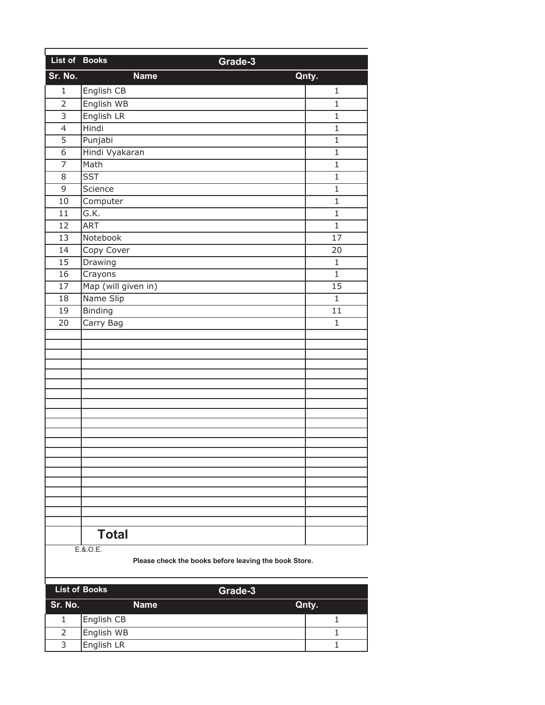| List of Books  | Grade-3             |                 |
|----------------|---------------------|-----------------|
| Sr. No.        | <b>Name</b>         | Qnty.           |
| $\mathbf{1}$   | English CB          | 1               |
| $\overline{2}$ | English WB          | $\mathbf{1}$    |
| $\overline{3}$ | English LR          | $\overline{1}$  |
| $\overline{4}$ | Hindi               | $\mathbf{1}$    |
| $\overline{5}$ | Punjabi             | $\mathbf{1}$    |
| 6              | Hindi Vyakaran      | $\mathbf{1}$    |
| $\overline{7}$ | Math                | $\mathbf 1$     |
| 8              | <b>SST</b>          | $\mathbf{1}$    |
| 9              | Science             | $\mathbf{1}$    |
| 10             | Computer            | $\overline{1}$  |
| 11             | G.K.                | $\mathbf{1}$    |
| 12             | <b>ART</b>          | $\mathbf{1}$    |
| 13             | Notebook            | $\overline{17}$ |
| 14             | Copy Cover          | 20              |
| 15             | Drawing             | $\mathbf{1}$    |
| 16             | Crayons             | $\mathbf{1}$    |
| 17             | Map (will given in) | $\overline{15}$ |
| 18             | Name Slip           | $\mathbf{1}$    |
| 19             | <b>Binding</b>      | $\overline{11}$ |
| 20             | Carry Bag           | $\mathbf{1}$    |
|                |                     |                 |
|                |                     |                 |
|                |                     |                 |
|                |                     |                 |
|                |                     |                 |
|                |                     |                 |
|                |                     |                 |
|                |                     |                 |
|                |                     |                 |
|                |                     |                 |
|                |                     |                 |
|                |                     |                 |
|                |                     |                 |
|                |                     |                 |
|                |                     |                 |
|                |                     |                 |
|                | <b>Total</b>        |                 |
|                | E.A.O.E             |                 |

E.&.O.E.

|         | <b>List of Books</b> |             | Grade-3 |       |
|---------|----------------------|-------------|---------|-------|
| Sr. No. |                      | <b>Name</b> |         | Qnty. |
|         | English CB           |             |         |       |
|         | English WB           |             |         |       |
| 3       | English LR           |             |         |       |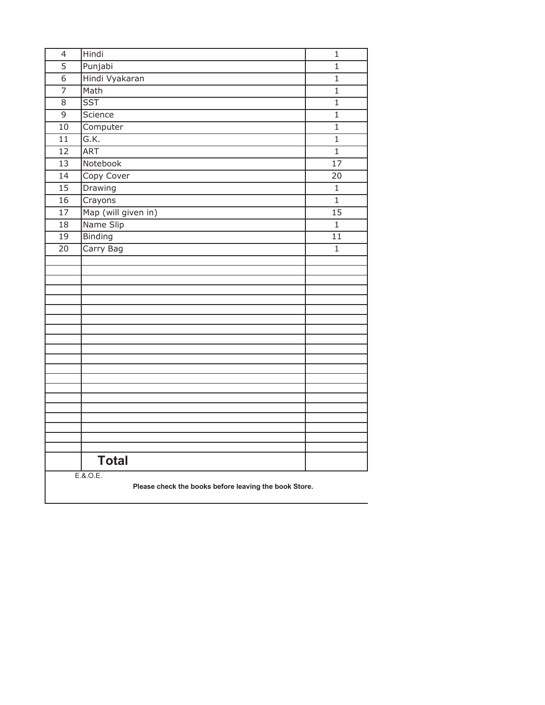| $\overline{4}$  | Hindi                                                 | $\mathbf 1$     |
|-----------------|-------------------------------------------------------|-----------------|
| $\overline{5}$  | Punjabi                                               | $\mathbf 1$     |
| $\overline{6}$  | Hindi Vyakaran                                        | $\mathbf 1$     |
| $\overline{7}$  | Math                                                  | $\mathbf{1}$    |
| 8               | <b>SST</b>                                            | $\mathbf{1}$    |
| $\overline{9}$  | Science                                               | $\mathbf 1$     |
| $\overline{10}$ | Computer                                              | $\overline{1}$  |
| 11              | G.K.                                                  | $\mathbf 1$     |
| 12              | <b>ART</b>                                            | $\mathbf{1}$    |
| 13              | Notebook                                              | $\overline{17}$ |
| 14              | Copy Cover                                            | 20              |
| $\overline{15}$ | Drawing                                               | 1               |
| 16              | Crayons                                               | $\mathbf 1$     |
| 17              | Map (will given in)                                   | $\overline{15}$ |
| 18              | Name Slip                                             | $\mathbf 1$     |
| 19              | <b>Binding</b>                                        | $\overline{11}$ |
| 20              | Carry Bag                                             | $\mathbf{1}$    |
|                 |                                                       |                 |
|                 |                                                       |                 |
|                 |                                                       |                 |
|                 |                                                       |                 |
|                 |                                                       |                 |
|                 |                                                       |                 |
|                 |                                                       |                 |
|                 |                                                       |                 |
|                 |                                                       |                 |
|                 |                                                       |                 |
|                 |                                                       |                 |
|                 |                                                       |                 |
|                 |                                                       |                 |
|                 |                                                       |                 |
|                 |                                                       |                 |
|                 |                                                       |                 |
|                 | <b>Total</b>                                          |                 |
|                 | E.8.0.E.                                              |                 |
|                 | Please check the books before leaving the book Store. |                 |
|                 |                                                       |                 |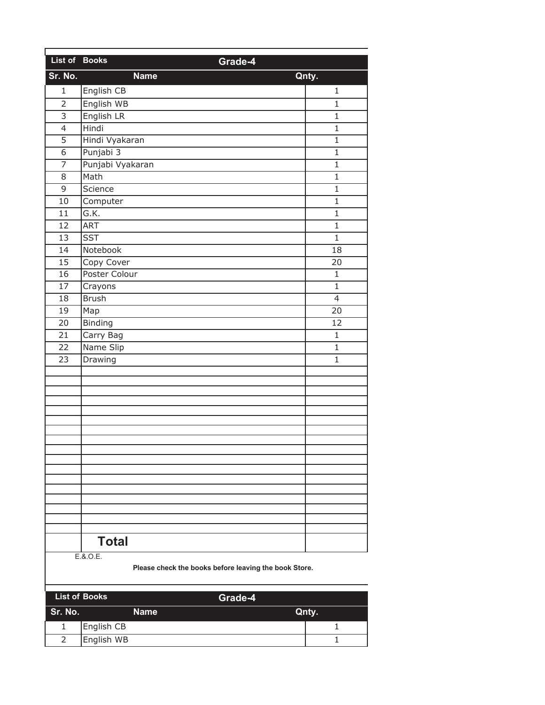| List of Books  |                  | Grade-4         |  |
|----------------|------------------|-----------------|--|
| Sr. No.        | <b>Name</b>      | Qnty.           |  |
| $\mathbf{1}$   | English CB       | 1               |  |
| $\overline{2}$ | English WB       | $\mathbf{1}$    |  |
| $\overline{3}$ | English LR       | $\mathbf{1}$    |  |
| $\overline{4}$ | Hindi            | $\mathbf 1$     |  |
| $\overline{5}$ | Hindi Vyakaran   | $\mathbf{1}$    |  |
| 6              | Punjabi 3        | $\mathbf{1}$    |  |
| $\overline{7}$ | Punjabi Vyakaran | $\mathbf{1}$    |  |
| 8              | Math             | $\mathbf{1}$    |  |
| 9              | Science          | $\mathbf{1}$    |  |
| 10             | Computer         | $\overline{1}$  |  |
| 11             | G.K.             | $\mathbf{1}$    |  |
| 12             | <b>ART</b>       | $\mathbf{1}$    |  |
| 13             | <b>SST</b>       | $\overline{1}$  |  |
| 14             | Notebook         | 18              |  |
| 15             | Copy Cover       | 20              |  |
| 16             | Poster Colour    | $\mathbf{1}$    |  |
| 17             | Crayons          | $\mathbf{1}$    |  |
| 18             | <b>Brush</b>     | $\overline{4}$  |  |
| 19             | Map              | $\overline{20}$ |  |
| 20             | Binding          | 12              |  |
| 21             | Carry Bag        | $\mathbf 1$     |  |
| 22             | Name Slip        | 1               |  |
| 23             | Drawing          | 1               |  |
|                |                  |                 |  |
|                |                  |                 |  |
|                |                  |                 |  |
|                |                  |                 |  |
|                |                  |                 |  |
|                |                  |                 |  |
|                |                  |                 |  |
|                |                  |                 |  |
|                |                  |                 |  |
|                |                  |                 |  |
|                |                  |                 |  |
|                |                  |                 |  |
|                |                  |                 |  |
|                |                  |                 |  |
|                | <b>Total</b>     |                 |  |
|                | E.8.0.E.         |                 |  |

| List of Books | Grade-4    |       |
|---------------|------------|-------|
| Sr. No.       | Name       | Qnty. |
|               | English CB |       |
|               | English WB |       |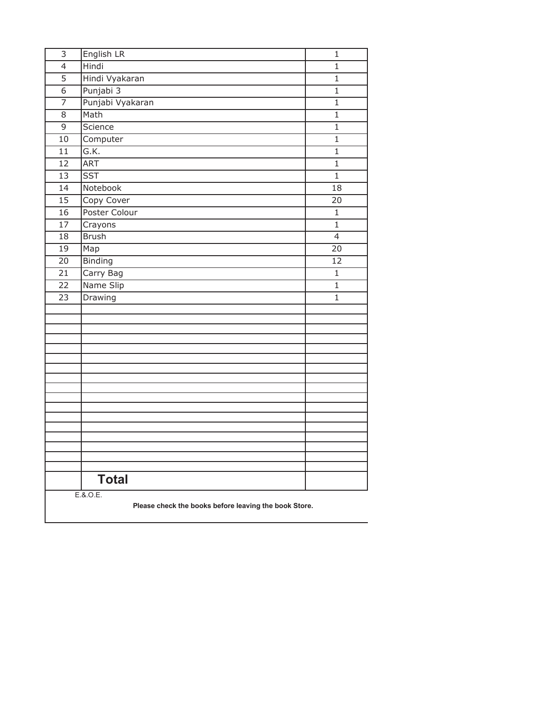| $\overline{3}$  | English LR                                                        | $\mathbf{1}$    |
|-----------------|-------------------------------------------------------------------|-----------------|
| $\overline{4}$  | Hindi                                                             | $\mathbf{1}$    |
| $\overline{5}$  | Hindi Vyakaran                                                    | $\mathbf{1}$    |
| $\overline{6}$  | Punjabi 3                                                         | $\mathbf{1}$    |
| 7               | Punjabi Vyakaran                                                  | $\mathbf{1}$    |
| $\overline{8}$  | Math                                                              | $\mathbf{1}$    |
| $\overline{9}$  | Science                                                           | $\mathbf{1}$    |
| 10              | Computer                                                          | $\mathbf{1}$    |
| 11              | G.K.                                                              | 1               |
| 12              | <b>ART</b>                                                        | $\mathbf{1}$    |
| $\overline{13}$ | <b>SST</b>                                                        | $\overline{1}$  |
| 14              | Notebook                                                          | $\overline{18}$ |
| 15              | Copy Cover                                                        | 20              |
| 16              | Poster Colour                                                     | $\mathbf{1}$    |
| 17              | Crayons                                                           | $\mathbf{1}$    |
| 18              | <b>Brush</b>                                                      | $\overline{4}$  |
| 19              | Map                                                               | 20              |
| 20              | <b>Binding</b>                                                    | 12              |
| 21              | Carry Bag                                                         | $\mathbf{1}$    |
| 22              | Name Slip                                                         | 1               |
| $\overline{23}$ | Drawing                                                           | $\mathbf{1}$    |
|                 |                                                                   |                 |
|                 |                                                                   |                 |
|                 |                                                                   |                 |
|                 |                                                                   |                 |
|                 |                                                                   |                 |
|                 |                                                                   |                 |
|                 |                                                                   |                 |
|                 |                                                                   |                 |
|                 |                                                                   |                 |
|                 |                                                                   |                 |
|                 |                                                                   |                 |
|                 |                                                                   |                 |
|                 |                                                                   |                 |
|                 |                                                                   |                 |
|                 | <b>Total</b>                                                      |                 |
|                 | E.8.0.E.<br>Please check the books before leaving the book Store. |                 |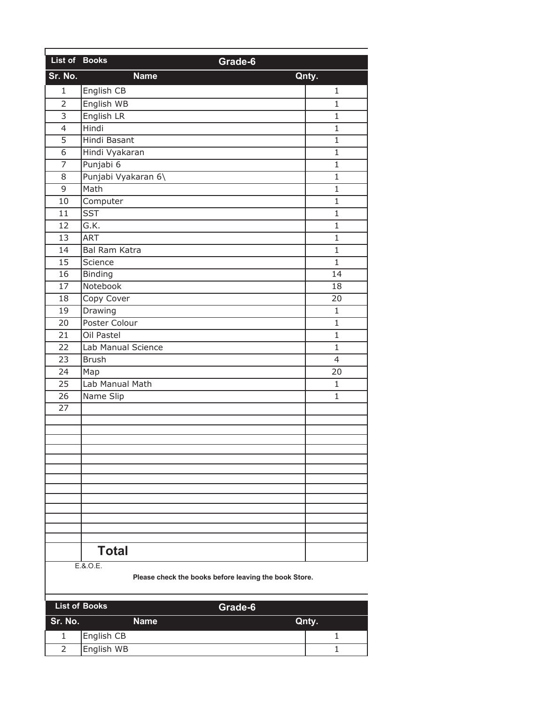| List of Books  |                     | Grade-6         |
|----------------|---------------------|-----------------|
| Sr. No.        | <b>Name</b>         | Qnty.           |
| $\mathbf{1}$   | English CB          | 1               |
| $\overline{2}$ | English WB          | 1               |
| 3              | English LR          | $\mathbf{1}$    |
| 4              | Hindi               | 1               |
| $\overline{5}$ | <b>Hindi Basant</b> | $\mathbf{1}$    |
| 6              | Hindi Vyakaran      | $\mathbf{1}$    |
| $\overline{7}$ | Punjabi 6           | 1               |
| 8              | Punjabi Vyakaran 6\ | $\mathbf{1}$    |
| 9              | Math                | $\mathbf{1}$    |
| 10             | Computer            | $\overline{1}$  |
| 11             | <b>SST</b>          | 1               |
| 12             | G.K.                | $\mathbf{1}$    |
| 13             | <b>ART</b>          | $\mathbf{1}$    |
| 14             | Bal Ram Katra       | $\mathbf{1}$    |
| 15             | Science             | $\mathbf{1}$    |
| 16             | <b>Binding</b>      | $\overline{14}$ |
| 17             | Notebook            | 18              |
| 18             | Copy Cover          | 20              |
| 19             | Drawing             | $\mathbf{1}$    |
| 20             | Poster Colour       | $\mathbf{1}$    |
| 21             | Oil Pastel          | $\mathbf{1}$    |
| 22             | Lab Manual Science  | 1               |
| 23             | <b>Brush</b>        | $\overline{4}$  |
| 24             | Map                 | 20              |
| 25             | Lab Manual Math     | $\mathbf{1}$    |
| 26             | Name Slip           | $\mathbf{1}$    |
| 27             |                     |                 |
|                |                     |                 |
|                |                     |                 |
|                |                     |                 |
|                |                     |                 |
|                |                     |                 |
|                |                     |                 |
|                |                     |                 |
|                |                     |                 |
|                |                     |                 |
|                |                     |                 |
|                | <b>Total</b>        |                 |
|                | $FAO$ F             |                 |

E.&.O.E.

|         | <b>List of Books</b><br>Grade-6 |       |
|---------|---------------------------------|-------|
| Sr. No. | <b>Name</b>                     | Qnty. |
|         | English CB                      |       |
|         | English WB                      |       |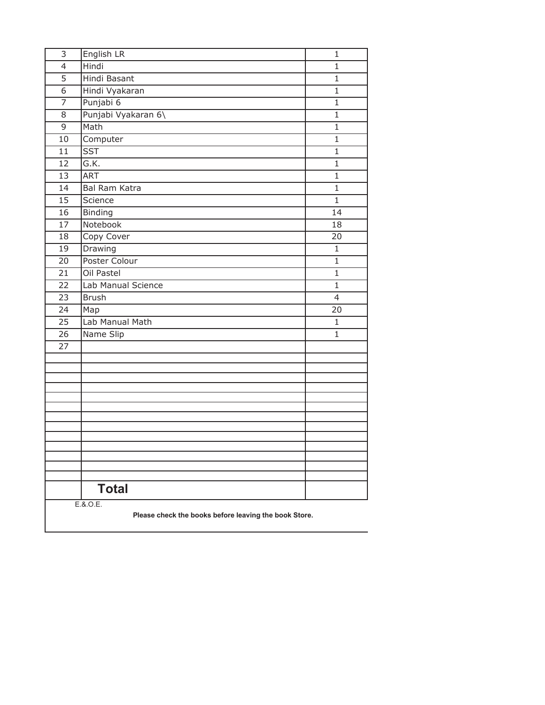| 3  | English LR                                                        | $\mathbf{1}$   |
|----|-------------------------------------------------------------------|----------------|
| 4  | Hindi                                                             | $\mathbf{1}$   |
| 5  | Hindi Basant                                                      | $\mathbf{1}$   |
| 6  | Hindi Vyakaran                                                    | $\mathbf{1}$   |
| 7  | Punjabi 6                                                         | $\mathbf{1}$   |
| 8  | Punjabi Vyakaran 6\                                               | $\mathbf{1}$   |
| 9  | Math                                                              | $\mathbf{1}$   |
| 10 | Computer                                                          | 1              |
| 11 | <b>SST</b>                                                        | $\mathbf{1}$   |
| 12 | $\overline{G.K.}$                                                 | $\mathbf{1}$   |
| 13 | <b>ART</b>                                                        | $\mathbf{1}$   |
| 14 | Bal Ram Katra                                                     | $\mathbf{1}$   |
| 15 | Science                                                           | $\mathbf{1}$   |
| 16 | Binding                                                           | 14             |
| 17 | Notebook                                                          | 18             |
| 18 | Copy Cover                                                        | 20             |
| 19 | Drawing                                                           | $\mathbf{1}$   |
| 20 | Poster Colour                                                     | $\mathbf 1$    |
| 21 | Oil Pastel                                                        | $\mathbf{1}$   |
| 22 | Lab Manual Science                                                | $\mathbf{1}$   |
| 23 | <b>Brush</b>                                                      | $\overline{4}$ |
| 24 | Map                                                               | 20             |
| 25 | Lab Manual Math                                                   | $\mathbf{1}$   |
| 26 | Name Slip                                                         | $\mathbf{1}$   |
| 27 |                                                                   |                |
|    |                                                                   |                |
|    |                                                                   |                |
|    |                                                                   |                |
|    |                                                                   |                |
|    |                                                                   |                |
|    |                                                                   |                |
|    |                                                                   |                |
|    |                                                                   |                |
|    |                                                                   |                |
|    |                                                                   |                |
|    |                                                                   |                |
|    | <b>Total</b>                                                      |                |
|    | E.8.0.E.<br>Please check the books before leaving the book Store. |                |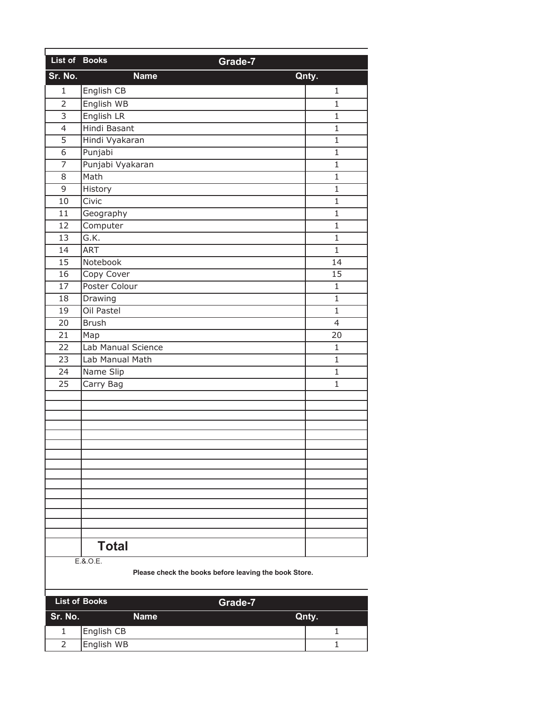| List of Books            | Grade-7            |                 |  |
|--------------------------|--------------------|-----------------|--|
| Sr. No.                  | <b>Name</b>        | Qnty.           |  |
| 1                        | English CB         | 1               |  |
| $\overline{2}$           | English WB         | $\mathbf{1}$    |  |
| $\overline{3}$           | English LR         | $\mathbf{1}$    |  |
| $\overline{\mathcal{L}}$ | Hindi Basant       | $\mathbf{1}$    |  |
| 5                        | Hindi Vyakaran     | $\mathbf{1}$    |  |
| 6                        | Punjabi            | $\mathbf{1}$    |  |
| 7                        | Punjabi Vyakaran   | $\mathbf{1}$    |  |
| 8                        | Math               | $\mathbf{1}$    |  |
| 9                        | History            | $\mathbf{1}$    |  |
| 10                       | Civic              | $\mathbf{1}$    |  |
| 11                       | Geography          | $\mathbf{1}$    |  |
| 12                       | Computer           | $\mathbf{1}$    |  |
| 13                       | G.K.               | $\mathbf{1}$    |  |
| 14                       | <b>ART</b>         | $\mathbf{1}$    |  |
| 15                       | Notebook           | 14              |  |
| 16                       | Copy Cover         | $\overline{15}$ |  |
| 17                       | Poster Colour      | $\mathbf{1}$    |  |
| 18                       | Drawing            | $\mathbf{1}$    |  |
| 19                       | Oil Pastel         | $\mathbf{1}$    |  |
| 20                       | <b>Brush</b>       | $\overline{4}$  |  |
| 21                       | Map                | 20              |  |
| 22                       | Lab Manual Science | $\mathbf{1}$    |  |
| 23                       | Lab Manual Math    | $\mathbf{1}$    |  |
| 24                       | Name Slip          | $\mathbf{1}$    |  |
| 25                       | Carry Bag          | $\mathbf{1}$    |  |
|                          |                    |                 |  |
|                          |                    |                 |  |
|                          |                    |                 |  |
|                          |                    |                 |  |
|                          |                    |                 |  |
|                          |                    |                 |  |
|                          |                    |                 |  |
|                          |                    |                 |  |
|                          |                    |                 |  |
|                          |                    |                 |  |
|                          |                    |                 |  |
|                          |                    |                 |  |
|                          | <b>Total</b>       |                 |  |
|                          | E.&.O.E.           |                 |  |

|         | <b>List of Books</b><br>Grade-7 |       |
|---------|---------------------------------|-------|
| Sr. No. | <b>Name</b>                     | Qnty. |
|         | English CB                      |       |
|         | English WB                      |       |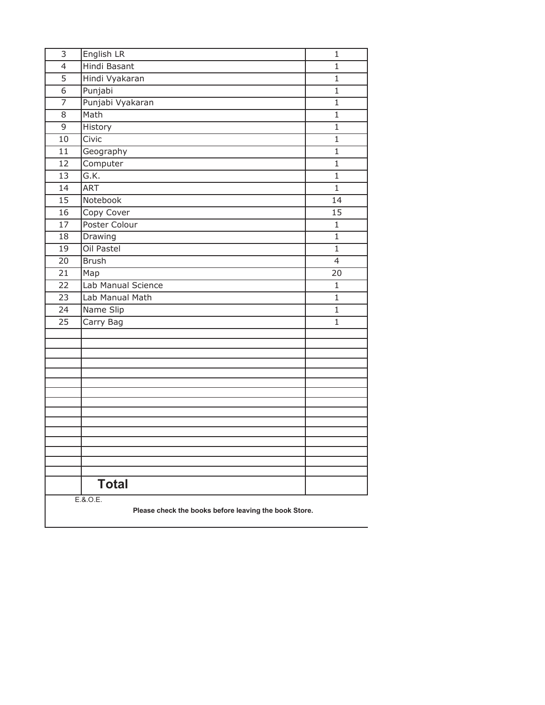| 3                                                     | English LR          | $\mathbf{1}$             |
|-------------------------------------------------------|---------------------|--------------------------|
| 4                                                     | <b>Hindi Basant</b> | $\mathbf{1}$             |
| 5                                                     | Hindi Vyakaran      | $\mathbf{1}$             |
| 6                                                     | Punjabi             | $\mathbf{1}$             |
| 7                                                     | Punjabi Vyakaran    | $\mathbf{1}$             |
| 8                                                     | Math                | $\mathbf{1}$             |
| 9                                                     | History             | $\mathbf{1}$             |
| 10                                                    | Civic               | $\mathbf{1}$             |
| 11                                                    | Geography           | $\mathbf{1}$             |
| 12                                                    | Computer            | $\mathbf{1}$             |
| 13                                                    | G.K.                | $\mathbf{1}$             |
| 14                                                    | <b>ART</b>          | $\mathbf{1}$             |
| 15                                                    | Notebook            | 14                       |
| 16                                                    | Copy Cover          | $\overline{15}$          |
| 17                                                    | Poster Colour       | $\mathbf{1}$             |
| 18                                                    | Drawing             | $\mathbf{1}$             |
| 19                                                    | Oil Pastel          | $\mathbf{1}$             |
| 20                                                    | <b>Brush</b>        | $\overline{\mathcal{L}}$ |
| 21                                                    | Map                 | 20                       |
| 22                                                    | Lab Manual Science  | $\mathbf{1}$             |
| 23                                                    | Lab Manual Math     | $\mathbf{1}$             |
| 24                                                    | Name Slip           | 1                        |
| 25                                                    | Carry Bag           | $\mathbf{1}$             |
|                                                       |                     |                          |
|                                                       |                     |                          |
|                                                       |                     |                          |
|                                                       |                     |                          |
|                                                       |                     |                          |
|                                                       |                     |                          |
|                                                       |                     |                          |
|                                                       |                     |                          |
|                                                       |                     |                          |
|                                                       |                     |                          |
|                                                       |                     |                          |
|                                                       |                     |                          |
|                                                       | <b>Total</b>        |                          |
|                                                       | E.8.0.E.            |                          |
| Please check the books before leaving the book Store. |                     |                          |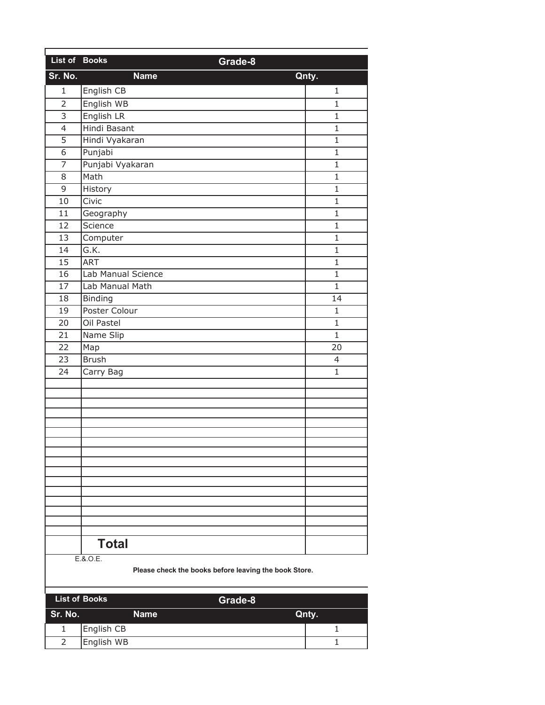| List of Books  | Grade-8            |                |  |
|----------------|--------------------|----------------|--|
| Sr. No.        | <b>Name</b>        | Qnty.          |  |
| $\mathbf{1}$   | English CB         | 1              |  |
| $\overline{2}$ | English WB         | 1              |  |
| 3              | English LR         | $\mathbf{1}$   |  |
| 4              | Hindi Basant       | $\mathbf 1$    |  |
| $\overline{5}$ | Hindi Vyakaran     | $\mathbf{1}$   |  |
| 6              | Punjabi            | $\mathbf{1}$   |  |
| $\overline{7}$ | Punjabi Vyakaran   | $\mathbf 1$    |  |
| 8              | Math               | $\mathbf{1}$   |  |
| 9              | History            | $\mathbf{1}$   |  |
| 10             | Civic              | $\overline{1}$ |  |
| 11             | Geography          | 1              |  |
| 12             | Science            | $\mathbf{1}$   |  |
| 13             | Computer           | $\mathbf{1}$   |  |
| 14             | G.K.               | $\mathbf 1$    |  |
| 15             | ART                | $\mathbf{1}$   |  |
| 16             | Lab Manual Science | $\mathbf{1}$   |  |
| 17             | Lab Manual Math    | $\overline{1}$ |  |
| 18             | Binding            | 14             |  |
| 19             | Poster Colour      | $\mathbf{1}$   |  |
| 20             | Oil Pastel         | $\mathbf{1}$   |  |
| 21             | Name Slip          | $\overline{1}$ |  |
| 22             | Map                | 20             |  |
| 23             | <b>Brush</b>       | 4              |  |
| 24             | Carry Bag          | $\mathbf{1}$   |  |
|                |                    |                |  |
|                |                    |                |  |
|                |                    |                |  |
|                |                    |                |  |
|                |                    |                |  |
|                |                    |                |  |
|                |                    |                |  |
|                |                    |                |  |
|                |                    |                |  |
|                |                    |                |  |
|                |                    |                |  |
|                |                    |                |  |
|                |                    |                |  |
|                | <b>Total</b>       |                |  |
|                | E.&.O.E.           |                |  |

|         | <b>List of Books</b><br>Grade-8 |       |  |
|---------|---------------------------------|-------|--|
| Sr. No. | Name                            | Qnty. |  |
|         | English CB                      |       |  |
|         | English WB                      |       |  |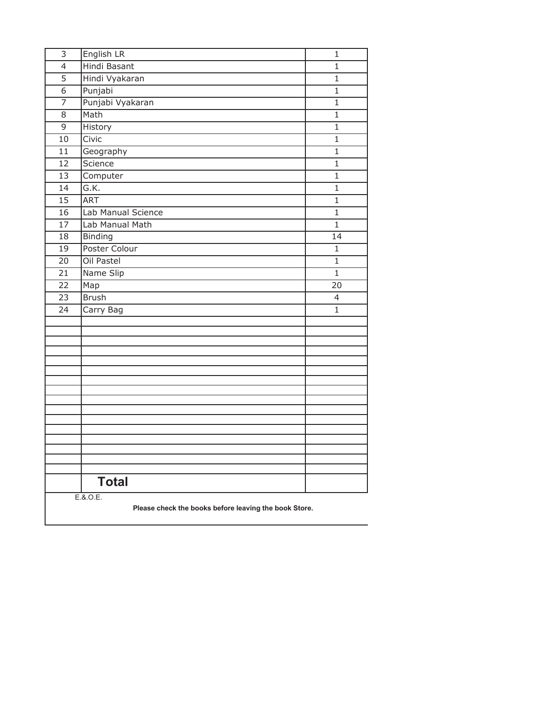| 3                                                     | English LR         | $\mathbf 1$  |
|-------------------------------------------------------|--------------------|--------------|
| $\overline{4}$                                        | Hindi Basant       | $\mathbf{1}$ |
| 5                                                     | Hindi Vyakaran     | $\mathbf{1}$ |
| 6                                                     | Punjabi            | $\mathbf{1}$ |
| 7                                                     | Punjabi Vyakaran   | $\mathbf{1}$ |
| 8                                                     | Math               | $\mathbf{1}$ |
| 9                                                     | History            | $\mathbf{1}$ |
| 10                                                    | Civic              | 1            |
| 11                                                    | Geography          | $\mathbf{1}$ |
| 12                                                    | Science            | $\mathbf{1}$ |
| 13                                                    | Computer           | $\mathbf{1}$ |
| 14                                                    | G.K.               | $\mathbf{1}$ |
| 15                                                    | <b>ART</b>         | $\mathbf{1}$ |
| 16                                                    | Lab Manual Science | $\mathbf{1}$ |
| 17                                                    | Lab Manual Math    | $\mathbf{1}$ |
| 18                                                    | <b>Binding</b>     | 14           |
| 19                                                    | Poster Colour      | $\mathbf{1}$ |
| 20                                                    | Oil Pastel         | $\mathbf 1$  |
| 21                                                    | Name Slip          | $\mathbf{1}$ |
| 22                                                    | Map                | 20           |
| 23                                                    | <b>Brush</b>       | 4            |
| 24                                                    | Carry Bag          | $\mathbf{1}$ |
|                                                       |                    |              |
|                                                       |                    |              |
|                                                       |                    |              |
|                                                       |                    |              |
|                                                       |                    |              |
|                                                       |                    |              |
|                                                       |                    |              |
|                                                       |                    |              |
|                                                       |                    |              |
|                                                       |                    |              |
|                                                       |                    |              |
|                                                       |                    |              |
|                                                       |                    |              |
|                                                       | <b>Total</b>       |              |
|                                                       | E.8.0.E.           |              |
| Please check the books before leaving the book Store. |                    |              |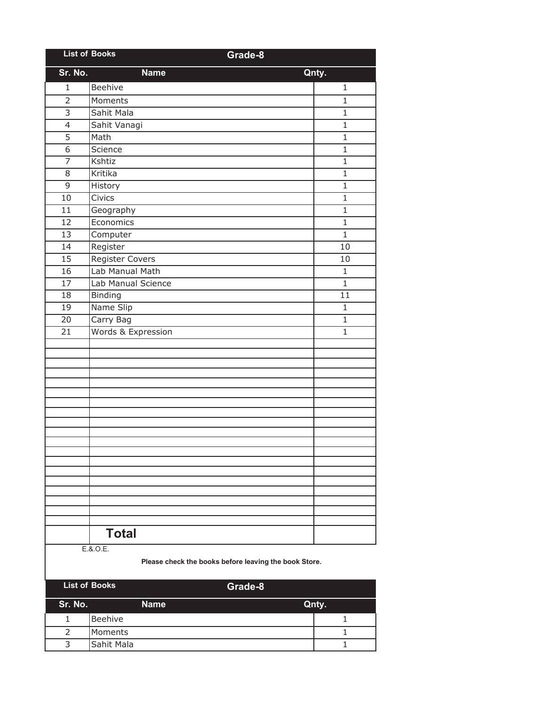| <b>List of Books</b> |                    | Grade-8      |
|----------------------|--------------------|--------------|
| Sr. No.              | <b>Name</b>        | Qnty.        |
| $\mathbf{1}$         | Beehive            | $\mathbf{1}$ |
| $\overline{2}$       | Moments            | $\mathbf{1}$ |
| $\overline{3}$       | Sahit Mala         | $\mathbf{1}$ |
| $\overline{4}$       | Sahit Vanagi       | $\mathbf{1}$ |
| $\overline{5}$       | Math               | $\mathbf{1}$ |
| $\overline{6}$       | Science            | $\mathbf{1}$ |
| $\overline{7}$       | Kshtiz             | $\mathbf{1}$ |
| 8                    | Kritika            | $\mathbf{1}$ |
| 9                    | History            | $\mathbf{1}$ |
| 10                   | Civics             | $\mathbf{1}$ |
| 11                   | Geography          | $\mathbf{1}$ |
| 12                   | Economics          | $\mathbf{1}$ |
| 13                   | Computer           | $\mathbf{1}$ |
| 14                   | Register           | 10           |
| 15                   | Register Covers    | 10           |
| 16                   | Lab Manual Math    | $\mathbf{1}$ |
| 17                   | Lab Manual Science | $\mathbf{1}$ |
| 18                   | Binding            | 11           |
| 19                   | Name Slip          | 1            |
| 20                   | Carry Bag          | $\mathbf{1}$ |
| 21                   | Words & Expression | $\mathbf{1}$ |
|                      |                    |              |
|                      |                    |              |
|                      |                    |              |
|                      |                    |              |
|                      |                    |              |
|                      |                    |              |
|                      |                    |              |
|                      |                    |              |
|                      |                    |              |
|                      |                    |              |
|                      |                    |              |
|                      |                    |              |
|                      |                    |              |
|                      |                    |              |
|                      |                    |              |
|                      | <b>Total</b>       |              |
|                      |                    |              |
|                      | E.8.0.E.           |              |

|         | <b>List of Books</b> | Grade-8 |       |
|---------|----------------------|---------|-------|
| Sr. No. | <b>Name</b>          |         | Qnty. |
|         | Beehive              |         |       |
|         | <b>Moments</b>       |         |       |
| ς       | Sahit Mala           |         |       |